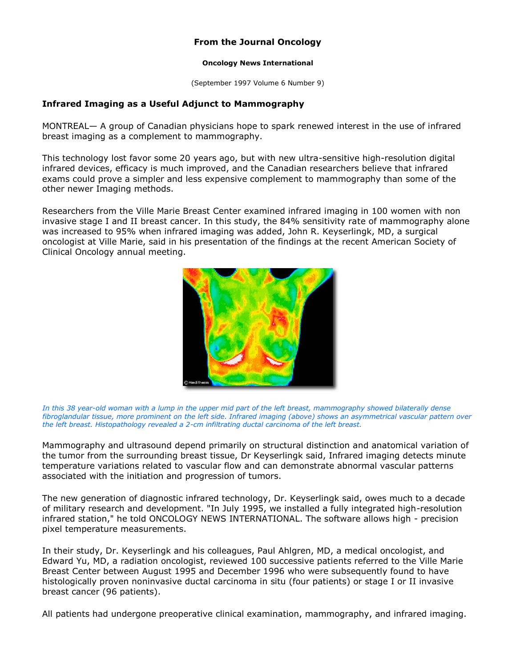## **From the Journal Oncology**

## **Oncology News International**

(September 1997 Volume 6 Number 9)

## **Infrared Imaging as a Useful Adjunct to Mammography**

MONTREAL— A group of Canadian physicians hope to spark renewed interest in the use of infrared breast imaging as a complement to mammography.

This technology lost favor some 20 years ago, but with new ultra-sensitive high-resolution digital infrared devices, efficacy is much improved, and the Canadian researchers believe that infrared exams could prove a simpler and less expensive complement to mammography than some of the other newer Imaging methods.

Researchers from the Ville Marie Breast Center examined infrared imaging in 100 women with non invasive stage I and II breast cancer. In this study, the 84% sensitivity rate of mammography alone was increased to 95% when infrared imaging was added, John R. Keyserlingk, MD, a surgical oncologist at Ville Marie, said in his presentation of the findings at the recent American Society of Clinical Oncology annual meeting.



In this 38 year-old woman with a lump in the upper mid part of the left breast, mammography showed bilaterally dense *fibroglandular tissue, more prominent on the left side. Infrared imaging (above) shows an asymmetrical vascular pattern over the left breast. Histopathology revealed a 2-cm infiltrating ductal carcinoma of the left breast.* 

Mammography and ultrasound depend primarily on structural distinction and anatomical variation of the tumor from the surrounding breast tissue, Dr Keyserlingk said, Infrared imaging detects minute temperature variations related to vascular flow and can demonstrate abnormal vascular patterns associated with the initiation and progression of tumors.

The new generation of diagnostic infrared technology, Dr. Keyserlingk said, owes much to a decade of military research and development. "In July 1995, we installed a fully integrated high-resolution infrared station," he told ONCOLOGY NEWS INTERNATIONAL. The software allows high - precision pixel temperature measurements.

In their study, Dr. Keyserlingk and his colleagues, Paul Ahlgren, MD, a medical oncologist, and Edward Yu, MD, a radiation oncologist, reviewed 100 successive patients referred to the Ville Marie Breast Center between August 1995 and December 1996 who were subsequently found to have histologically proven noninvasive ductal carcinoma in situ (four patients) or stage I or II invasive breast cancer (96 patients).

All patients had undergone preoperative clinical examination, mammography, and infrared imaging.